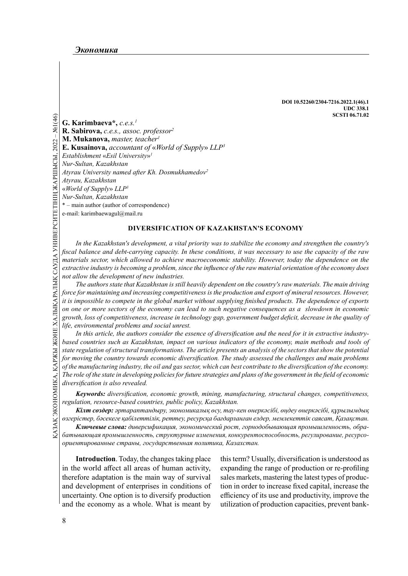DOI 10.52260/2304-7216.2022.1(46).1 UDC 338.1 SCSTI 06.71.02

*G*<br> **EXECUTE AN INSTERTMARY CONSTRAINS (REV. SUBDITONA, C.e.s., ass.<br>
<b>R. Sabirova,** c.e.s., ass.<br> **R. Kusainova,** account<br> *Kur-Sultan, Kazakhstan*<br> *Atyrau, Kazakhstan*<br> *Atyrau, Kazakhstan*<br> *Kur-Sultan, Kazakhstan*<br> G. Karimbaeva\*, c.e.s.<sup>1</sup> R. Sabirova, c.e.s., assoc. professor<sup>2</sup> M. Mukanova, master, teacher<sup>1</sup> E. Kusainova, accountant of «World of Supply» LLP<sup>3</sup> Establishment «Esil University» 1 Nur-Sultan, Kazakhstan Atyrau University named after Kh. Dosmukhamedov<sup>2</sup> Atyrau, Kazakhstan «World of Supply» LLP<sup>3</sup> Nur-Sultan, Kazakhstan \* – main author (author of correspondence) e-mail: karimbaewagul@mail.ru

### DIVERSIFICATION OF KAZAKHSTAN'S ECONOMY

In the Kazakhstan's development, a vital priority was to stabilize the economy and strengthen the country's fiscal balance and debt-carrying capacity. In these conditions, it was necessary to use the capacity of the raw materials sector, which allowed to achieve macroeconomic stability. However, today the dependence on the extractive industry is becoming a problem, since the influence of the raw material orientation of the economy does not allow the development of new industries.

The authors state that Kazakhstan is still heavily dependent on the country's raw materials. The main driving force for maintaining and increasing competitiveness is the production and export of mineral resources. However, it is impossible to compete in the global market without supplying finished products. The dependence of exports on one or more sectors of the economy can lead to such negative consequences as a slowdown in economic growth, loss of competitiveness, increase in technology gap, government budget deficit, decrease in the quality of life, environmental problems and social unrest.

Based countries such as Kazakhstan, impact on various indicators of i<br>
state regulation of structural transformations. The article presents an ana<br>
for moving the country towards economic diversification. The study ass<br>
o In this article, the authors consider the essence of diversification and the need for it in extractive industrybased countries such as Kazakhstan, impact on various indicators of the economy, main methods and tools of state regulation of structural transformations. The article presents an analysis of the sectors that show the potential for moving the country towards economic diversification. The study assessed the challenges and main problems of the manufacturing industry, the oil and gas sector, which can best contribute to the diversification of the economy. The role of the state in developing policies for future strategies and plans of the government in the field of economic diversification is also revealed.

Keywords: diversification, economic growth, mining, manufacturing, structural changes, competitiveness, regulation, resource-based countries, public policy, Kazakhstan.

Кілт сөздер: әртараптандыру, экономикалық өсу, тау-кен өнеркәсібі, өңдеу өнеркәсібі, құрылымдық өзгерістер, бәсекеге қабілеттілік, реттеу, ресурсқа бағдарланған елдер, мемлекеттік саясат, Қазақстан.

Ключевые слова: диверсификация, экономический рост, горнодобывающая промышленность, обрабатывающая промышленность, структурные изменения, конкурентоспособность, регулирование, ресурсоориентированные страны, государственная политика, Казахстан.

Introduction. Today, the changes taking place in the world affect all areas of human activity, therefore adaptation is the main way of survival and development of enterprises in conditions of uncertainty. One option is to diversify production and the economy as a whole. What is meant by

this term? Usually, diversification is understood as expanding the range of production or re-profiling sales markets, mastering the latest types of production in order to increase fixed capital, increase the efficiency of its use and productivity, improve the utilization of production capacities, prevent bank-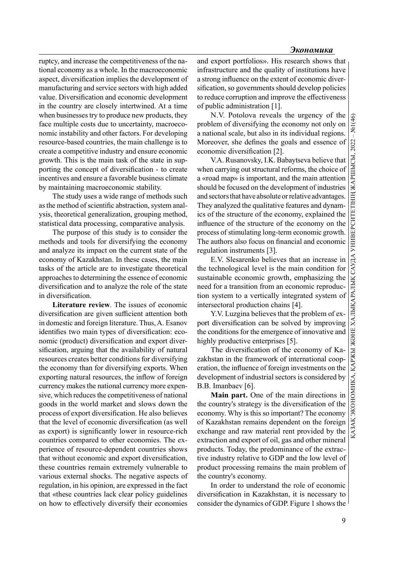ruptcy, and increase the competitiveness of the national economy as a whole. In the macroeconomic aspect, diversification implies the development of manufacturing and service sectors with high added value. Diversification and economic development in the country are closely intertwined. At a time when businesses try to produce new products, they face multiple costs due to uncertainty, macroeconomic instability and other factors. For developing resource-based countries, the main challenge is to create a competitive industry and ensure economic growth. This is the main task of the state in supporting the concept of diversification - to create incentives and ensure a favorable business climate by maintaining macroeconomic stability.

The study uses a wide range of methods such as the method of scientific abstraction, system analysis, theoretical generalization, grouping method, statistical data processing, comparative analysis.

The purpose of this study is to consider the methods and tools for diversifying the economy and analyze its impact on the current state of the economy of Kazakhstan. In these cases, the main tasks of the article are to investigate theoretical approaches to determining the essence of economic diversification and to analyze the role of the state in diversification.

Literature review. The issues of economic diversification are given sufficient attention both in domestic and foreign literature. Thus, A. Esanov identifies two main types of diversification: economic (product) diversification and export diversification, arguing that the availability of natural resources creates better conditions for diversifying the economy than for diversifying exports. When exporting natural resources, the inflow of foreign currency makes the national currency more expensive, which reduces the competitiveness of national goods in the world market and slows down the process of export diversification. He also believes that the level of economic diversification (as well as export) is significantly lower in resource-rich countries compared to other economies. The experience of resource-dependent countries shows that without economic and export diversification, these countries remain extremely vulnerable to various external shocks. The negative aspects of regulation, in his opinion, are expressed in the fact that «these countries lack clear policy guidelines on how to effectively diversify their economies

and export portfolios». His research shows that infrastructure and the quality of institutions have a strong influence on the extent of economic diversification, so governments should develop policies to reduce corruption and improve the effectiveness of public administration [1].

N.V. Potolova reveals the urgency of the  $\frac{Q}{Q}$ <br>plem of diversifying the economy not only on tional scale, but also in its individual regions. problem of diversifying the economy not only on a national scale, but also in its individual regions. economic diversification [2].

Moreover, she defines the goals and essence of<br>
economic diversification [2].<br>
V.A. Rusanovsky, I.K. Babaytseva believe that<br>
when carrying out structural reforms, the choice of<br>
a «road map» is important, and the main at V.A. Rusanovsky, I.K. Babaytseva believe that when carrying out structural reforms, the choice of a «road map» is important, and the main attention should be focused on the development of industries and sectors that have absolute or relative advantages. They analyzed the qualitative features and dynamics of the structure of the economy, explained the influence of the structure of the economy on the process of stimulating long-term economic growth. The authors also focus on financial and economic regulation instruments [3].

E.V. Slesarenko believes that an increase in the technological level is the main condition for sustainable economic growth, emphasizing the need for a transition from an economic reproduction system to a vertically integrated system of intersectoral production chains [4].

Y.V. Luzgina believes that the problem of export diversification can be solved by improving the conditions for the emergence of innovative and highly productive enterprises [5].

The diversification of the economy of Kazakhstan in the framework of international cooperation, the influence of foreign investments on the development of industrial sectors is considered by B.B. Imanbaev [6].

Main part. One of the main directions in the country's strategy is the diversification of the economy. Why is this so important? The economy of Kazakhstan remains dependent on the foreign exchange and raw material rent provided by the extraction and export of oil, gas and other mineral products. Today, the predominance of the extractive industry relative to GDP and the low level of product processing remains the main problem of the country's economy.

In order to understand the role of economic diversification in Kazakhstan, it is necessary to consider the dynamics of GDP. Figure 1 shows the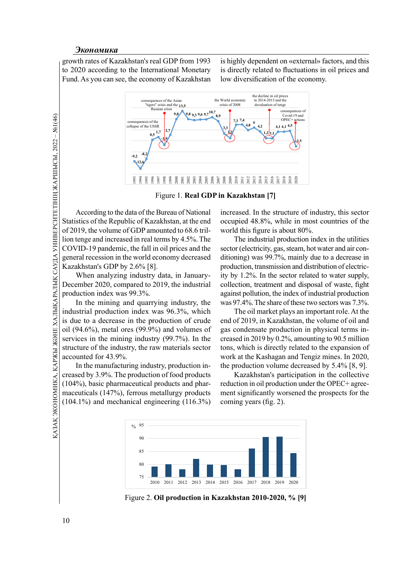growth rates of Kazakhstan's real GDP from 1993 to 2020 according to the International Monetary Fund. As you can see, the economy of Kazakhstan is highly dependent on «external» factors, and this is directly related to fluctuations in oil prices and low diversification of the economy.





General metalstranding to the day of the Statistics of the Republicant of 2019, the volume of the Statistics of the Republicant of 2019, the volume of the Republicant of 2019, the volume of the Kazakhstan's GDP by 2 When According to the data of the Bureau of National Statistics of the Republic of Kazakhstan, at the end of 2019, the volume of GDP amounted to 68.6 trillion tenge and increased in real terms by 4.5%. The COVID-19 pandemic, the fall in oil prices and the general recession in the world economy decreased Kazakhstan's GDP by 2.6% [8].

When analyzing industry data, in January-December 2020, compared to 2019, the industrial production index was 99.3%.

In the mining and quarrying industry, the industrial production index was 96.3%, which is due to a decrease in the production of crude oil (94.6%), metal ores (99.9%) and volumes of services in the mining industry (99.7%). In the structure of the industry, the raw materials sector accounted for 43.9%.

As structure of the industry, the raw materials sector<br>
accounted for 43.9%.<br>
In the manufacturing industry, production in-<br>  $\frac{1}{2}$  for a section of the industry, production in-<br>  $\frac{1}{2}$  for a section of 500 products In the manufacturing industry, production increased by 3.9%. The production of food products (104%), basic pharmaceutical products and pharmaceuticals (147%), ferrous metallurgy products (104.1%) and mechanical engineering (116.3%)

increased. In the structure of industry, this sector occupied 48.8%, while in most countries of the world this figure is about 80%.

The industrial production index in the utilities sector (electricity, gas, steam, hot water and air conditioning) was 99.7%, mainly due to a decrease in production, transmission and distribution of electricity by 1.2%. In the sector related to water supply, collection, treatment and disposal of waste, fight against pollution, the index of industrial production was 97.4%. The share of these two sectors was 7.3%.

The oil market plays an important role. At the end of 2019, in Kazakhstan, the volume of oil and gas condensate production in physical terms increased in 2019 by 0.2%, amounting to 90.5 million tons, which is directly related to the expansion of work at the Kashagan and Tengiz mines. In 2020, the production volume decreased by 5.4% [8, 9].

Kazakhstan's participation in the collective reduction in oil production under the OPEC+ agreement significantly worsened the prospects for the coming years (fig. 2).



Figure 2. Oil production in Kazakhstan 2010-2020, % [9]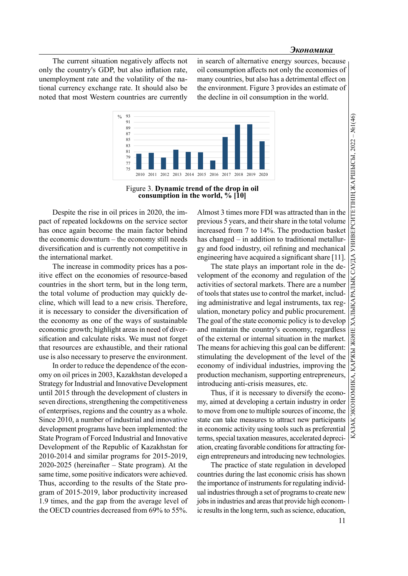The current situation negatively affects not only the country's GDP, but also inflation rate, unemployment rate and the volatility of the national currency exchange rate. It should also be noted that most Western countries are currently in search of alternative energy sources, because oil consumption affects not only the economies of many countries, but also has a detrimental effect on the environment. Figure 3 provides an estimate of the decline in oil consumption in the world.





Despite the rise in oil prices in 2020, the impact of repeated lockdowns on the service sector has once again become the main factor behind the economic downturn – the economy still needs diversification and is currently not competitive in the international market.

The increase in commodity prices has a positive effect on the economies of resource-based countries in the short term, but in the long term, the total volume of production may quickly decline, which will lead to a new crisis. Therefore, it is necessary to consider the diversification of the economy as one of the ways of sustainable economic growth; highlight areas in need of diversification and calculate risks. We must not forget that resources are exhaustible, and their rational use is also necessary to preserve the environment.

In order to reduce the dependence of the economy on oil prices in 2003, Kazakhstan developed a Strategy for Industrial and Innovative Development until 2015 through the development of clusters in seven directions, strengthening the competitiveness of enterprises, regions and the country as a whole. Since 2010, a number of industrial and innovative development programs have been implemented: the State Program of Forced Industrial and Innovative Development of the Republic of Kazakhstan for 2010-2014 and similar programs for 2015-2019, 2020-2025 (hereinafter – State program). At the same time, some positive indicators were achieved. Thus, according to the results of the State program of 2015-2019, labor productivity increased 1.9 times, and the gap from the average level of the OECD countries decreased from 69% to 55%.

Almost 3 times more FDI was attracted than in the increased from 7 to 14%. The production basket has changed – in addition to traditional metallurgy and food industry, oil refining and mechanical engineering have acquired a significant share [11].

**Propagation**<br> **Propagation**<br> **Propagation**<br> **Propagation**<br> **Propagation**<br> **Propagation**<br> **Propagation**<br> **Propagation**<br> **Propagation**<br> **Propagation**<br> **Propagation**<br> **Propagation**<br> **Propagation**<br> **Propagation**<br> **Propagatio** The state plays an important role in the development of the economy and regulation of the activities of sectoral markets. There are a number of tools that states use to control the market, including administrative and legal instruments, tax regulation, monetary policy and public procurement. The goal of the state economic policy is to develop and maintain the country's economy, regardless of the external or internal situation in the market. The means for achieving this goal can be different: stimulating the development of the level of the economy of individual industries, improving the production mechanism, supporting entrepreneurs, introducing anti-crisis measures, etc.

Thus, if it is necessary to diversify the economy, aimed at developing a certain industry in order to move from one to multiple sources of income, the state can take measures to attract new participants in economic activity using tools such as preferential terms, special taxation measures, accelerated depreciation, creating favorable conditions for attracting foreign entrepreneurs and introducing new technologies.

The practice of state regulation in developed countries during the last economic crisis has shown the importance of instruments for regulating individual industries through a set of programs to create new jobs in industries and areas that provide high economic results in the long term, such as science, education,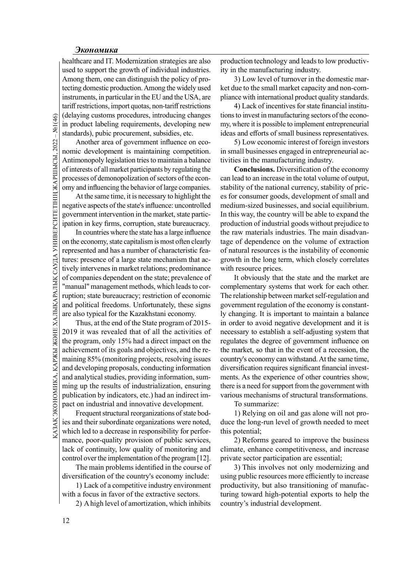healthcare and IT. Modernization strategies are also used to support the growth of individual industries. Among them, one can distinguish the policy of protecting domestic production. Among the widely used instruments, in particular in the EU and the USA, are tariff restrictions, import quotas, non-tariff restrictions (delaying customs procedures, introducing changes in product labeling requirements, developing new standards), pubic procurement, subsidies, etc.

Another area of government influence on economic development is maintaining competition. Antimonopoly legislation tries to maintain a balance of interests of all market participants by regulating the processes of demonopolization of sectors of the economy and influencing the behavior of large companies.

At the same time, it is necessary to highlight the negative aspects of the state's influence: uncontrolled government intervention in the market, state participation in key firms, corruption, state bureaucracy.

THE STRIDUCE (delaying customs proce in product labeling required and anomic development is Antimonopoly legislatio of interests of all market processes of demonopolion and influencing the latter processes of demonopolion In countries where the state has a large influence on the economy, state capitalism is most often clearly represented and has a number of characteristic features: presence of a large state mechanism that actively intervenes in market relations; predominance of companies dependent on the state; prevalence of "manual" management methods, which leads to corruption; state bureaucracy; restriction of economic and political freedoms. Unfortunately, these signs are also typical for the Kazakhstani economy.

The program, only 15% had a direct impact on the regulates the<br>
achievement of its goals and objectives, and the re-<br>
maining 85% (monitoring projects, resolving issues country's eco-<br>
and developing proposals, conducting Thus, at the end of the State program of 2015- 2019 it was revealed that of all the activities of the program, only 15% had a direct impact on the achievement of its goals and objectives, and the remaining 85% (monitoring projects, resolving issues and developing proposals, conducting information and analytical studies, providing information, summing up the results of industrialization, ensuring publication by indicators, etc.) had an indirect impact on industrial and innovative development.

Frequent structural reorganizations of state bodies and their subordinate organizations were noted, which led to a decrease in responsibility for performance, poor-quality provision of public services, lack of continuity, low quality of monitoring and control over the implementation of the program [12].

The main problems identified in the course of diversification of the country's economy include:

1) Lack of a competitive industry environment with a focus in favor of the extractive sectors.

2) A high level of amortization, which inhibits

production technology and leads to low productivity in the manufacturing industry.

3) Low level of turnover in the domestic market due to the small market capacity and non-compliance with international product quality standards.

4) Lack of incentives for state financial institutions to invest in manufacturing sectors of the economy, where it is possible to implement entrepreneurial ideas and efforts of small business representatives.

5) Low economic interest of foreign investors in small businesses engaged in entrepreneurial activities in the manufacturing industry.

Conclusions. Diversification of the economy can lead to an increase in the total volume of output, stability of the national currency, stability of prices for consumer goods, development of small and medium-sized businesses, and social equilibrium. In this way, the country will be able to expand the production of industrial goods without prejudice to the raw materials industries. The main disadvantage of dependence on the volume of extraction of natural resources is the instability of economic growth in the long term, which closely correlates with resource prices.

It obviously that the state and the market are complementary systems that work for each other. The relationship between market self-regulation and government regulation of the economy is constantly changing. It is important to maintain a balance in order to avoid negative development and it is necessary to establish a self-adjusting system that regulates the degree of government influence on the market, so that in the event of a recession, the country's economy can withstand. At the same time, diversification requires significant financial investments. As the experience of other countries show, there is a need for support from the government with various mechanisms of structural transformations.

To summarize:

1) Relying on oil and gas alone will not produce the long-run level of growth needed to meet this potential;

2) Reforms geared to improve the business climate, enhance competitiveness, and increase private sector participation are essential;

3) This involves not only modernizing and using public resources more efficiently to increase productivity, but also transitioning of manufacturing toward high-potential exports to help the country's industrial development.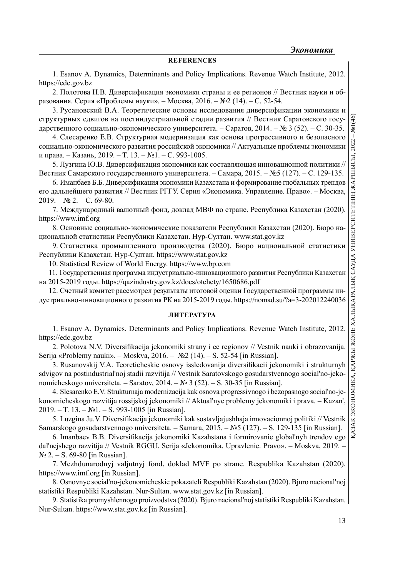## **REFERENCES**

1. Esanov A. Dynamics, Determinants and Policy Implications. Revenue Watch Institute, 2012. https://edc.gov.bz

2. Полотова Н.В. Диверсификация экономики страны и ее регионов // Вестник науки и образования. Серия «Проблемы науки». – Москва, 2016. – №2 (14). – С. 52-54.

3. Русановский В.А. Теоретические основы исследования диверсификации экономики и  $\circ$ структурных сдвигов на постиндустриальной стадии развития // Вестник Саратовского государственного социально-экономического университета. – Саратов, 2014. – № 3 (52). – С. 30-35.

4. Слесаренко Е.В. Структурная модернизация как основа прогрессивного и безопасного социально-экономического развития российской экономики // Актуальные проблемы экономики и права. – Казань, 2019. – T. 13. – №1. – С. 993-1005.

5. Лузгина Ю.В. Диверсификация экономики как составляющая инновационной политики // Вестник Самарского государственного университета. – Самара, 2015. – №5 (127). – С. 129-135.

его дальнейшего развития // Вестник РГГУ. Серия «Экономика. Управление. Право». – Москва,  $2019. - N<sub>2</sub> 2. - C. 69-80.$ 

7. Международный валютный фонд, доклад МВФ по стране. Республика Казахстан (2020). https://www.imf.org

8. Основные социально-экономические показатели Республики Казахстан (2020). Бюро национальной статистики Республики Казахстан. Нур-Султан. www.stat.gov.kz

9. Статистика промышленного производства (2020). Бюро национальной статистики Республики Казахстан. Нур-Султан. https://www.stat.gov.kz

10. Statistical Review of World Energy. https://www.bp.com

11. Государственная программа индустриально-инновационного развития Республики Казахстан на 2015-2019 годы. https://qazindustry.gov.kz/docs/otchety/1650686.pdf

12. Счетный комитет рассмотрел результаты итоговой оценки Государственной программы индустриально-инновационного развития РК на 2015-2019 годы. https://nomad.su/?a=3-202012240036

# ЛИТЕРАТУРА

1. Esanov A. Dynamics, Determinants and Policy Implications. Revenue Watch Institute, 2012. https://edc.gov.bz

2. Polotova N.V. Diversifikacija jekonomiki strany i ee regionov // Vestnik nauki i obrazovanija Serija «Problemy nauki». – Moskva, 2016. – №2 (14). – S. 52-54 [in Russian].

3. Rusanovskij V.A. Teoreticheskie osnovy issledovanija diversifikacii jekonomiki i strukturnyh sdvigov na postindustrial'noj stadii razvitija // Vestnik Saratovskogo gosudarstvennogo social'no-jekonomicheskogo universiteta. – Saratov, 2014. – № 3 (52). – S. 30-35 [in Russian].

**6. Example, 2013.** - T.1 T. (13. Nell. - C. 992-1005.<br>
16. Hystemia IO.B. Juneepculoptextures according the constantinua summonation information of the Manufestar EMP (6. Manufestar EMP) and a measure in the Manufestar a 4. Slesarenko E.V. Strukturnaja modernizacija kak osnova progressivnogo i bezopasnogo social'no-jekonomicheskogo razvitija rossijskoj jekonomiki // Aktual'nye problemy jekonomiki i prava. – Kazan', 2019. – T. 13. – №1. – S. 993-1005 [in Russian].

5. Luzgina Ju.V. Diversifi kacija jekonomiki kak sostavljajushhaja innovacionnoj politiki // Vestnik Samarskogo gosudarstvennogo universiteta. – Samara, 2015. – №5 (127). – S. 129-135 [in Russian].

6. Imanbaev B.B. Diversifikacija jekonomiki Kazahstana i formirovanie global'nyh trendov ego dal'nejshego razvitija // Vestnik RGGU. Serija «Jekonomika. Upravlenie. Pravo». – Moskva, 2019. – № 2. – S. 69-80 [in Russian].

7. Mezhdunarodnyj valjutnyj fond, doklad MVF po strane. Respublika Kazahstan (2020). https://www.imf.org [in Russian].

8. Osnovnye social'no-jekonomicheskie pokazateli Respubliki Kazahstan (2020). Bjuro nacional'noj statistiki Respubliki Kazahstan. Nur-Sultan. www.stat.gov.kz [in Russian].

9. Statistika promyshlennogo proizvodstva (2020). Bjuro nacional'noj statistiki Respubliki Kazahstan. Nur-Sultan. https://www.stat.gov.kz [in Russian].